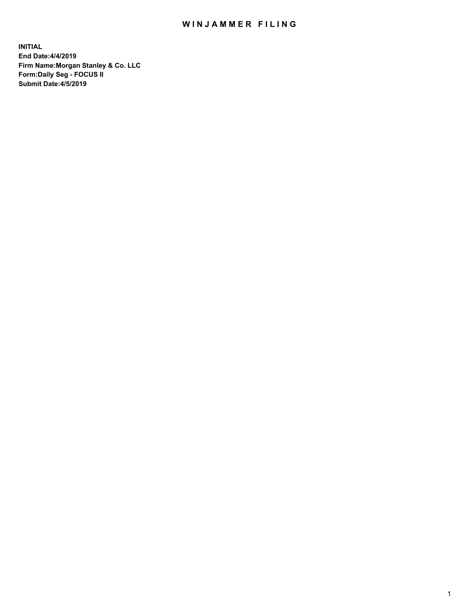## WIN JAMMER FILING

**INITIAL End Date:4/4/2019 Firm Name:Morgan Stanley & Co. LLC Form:Daily Seg - FOCUS II Submit Date:4/5/2019**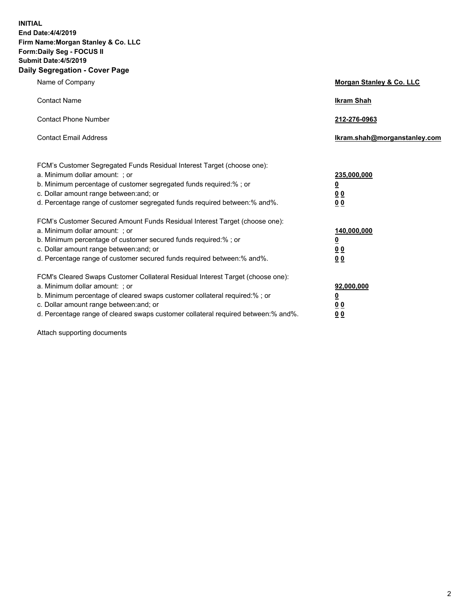**INITIAL End Date:4/4/2019 Firm Name:Morgan Stanley & Co. LLC Form:Daily Seg - FOCUS II Submit Date:4/5/2019 Daily Segregation - Cover Page**

| Name of Company                                                                                                                                                                                                                                                                                                                | Morgan Stanley & Co. LLC                                    |
|--------------------------------------------------------------------------------------------------------------------------------------------------------------------------------------------------------------------------------------------------------------------------------------------------------------------------------|-------------------------------------------------------------|
| <b>Contact Name</b>                                                                                                                                                                                                                                                                                                            | <b>Ikram Shah</b>                                           |
| <b>Contact Phone Number</b>                                                                                                                                                                                                                                                                                                    | 212-276-0963                                                |
| <b>Contact Email Address</b>                                                                                                                                                                                                                                                                                                   | Ikram.shah@morganstanley.com                                |
| FCM's Customer Segregated Funds Residual Interest Target (choose one):<br>a. Minimum dollar amount: ; or<br>b. Minimum percentage of customer segregated funds required:% ; or<br>c. Dollar amount range between: and; or<br>d. Percentage range of customer segregated funds required between:% and%.                         | 235,000,000<br><u>0</u><br>00<br>00                         |
| FCM's Customer Secured Amount Funds Residual Interest Target (choose one):<br>a. Minimum dollar amount: ; or<br>b. Minimum percentage of customer secured funds required:%; or<br>c. Dollar amount range between: and; or<br>d. Percentage range of customer secured funds required between: % and %.                          | 140,000,000<br><u>0</u><br>0 <sub>0</sub><br>0 <sub>0</sub> |
| FCM's Cleared Swaps Customer Collateral Residual Interest Target (choose one):<br>a. Minimum dollar amount: ; or<br>b. Minimum percentage of cleared swaps customer collateral required:% ; or<br>c. Dollar amount range between: and; or<br>d. Percentage range of cleared swaps customer collateral required between:% and%. | 92,000,000<br><u>0</u><br><u>00</u><br>00                   |

Attach supporting documents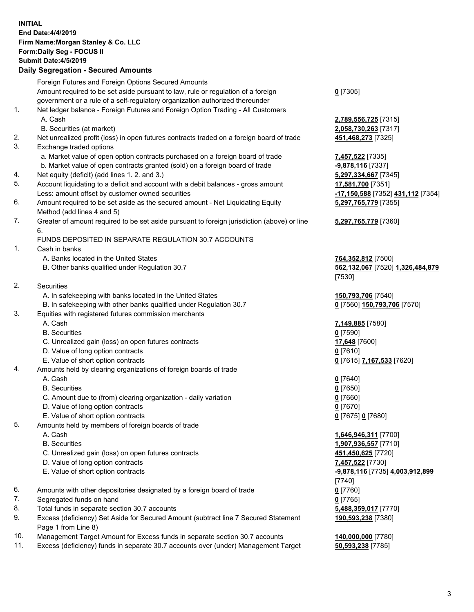|          | <b>INITIAL</b><br>End Date: 4/4/2019<br>Firm Name: Morgan Stanley & Co. LLC<br>Form: Daily Seg - FOCUS II<br><b>Submit Date: 4/5/2019</b>                                                                                                                                                                  |                                                                                |
|----------|------------------------------------------------------------------------------------------------------------------------------------------------------------------------------------------------------------------------------------------------------------------------------------------------------------|--------------------------------------------------------------------------------|
|          | <b>Daily Segregation - Secured Amounts</b>                                                                                                                                                                                                                                                                 |                                                                                |
| 1.       | Foreign Futures and Foreign Options Secured Amounts<br>Amount required to be set aside pursuant to law, rule or regulation of a foreign<br>government or a rule of a self-regulatory organization authorized thereunder<br>Net ledger balance - Foreign Futures and Foreign Option Trading - All Customers | $0$ [7305]                                                                     |
|          | A. Cash<br>B. Securities (at market)                                                                                                                                                                                                                                                                       | 2,789,556,725 [7315]<br>2,058,730,263 [7317]                                   |
| 2.<br>3. | Net unrealized profit (loss) in open futures contracts traded on a foreign board of trade<br>Exchange traded options                                                                                                                                                                                       | 451,468,273 [7325]                                                             |
|          | a. Market value of open option contracts purchased on a foreign board of trade<br>b. Market value of open contracts granted (sold) on a foreign board of trade                                                                                                                                             | 7,457,522 [7335]<br>-9,878,116 [7337]                                          |
| 4.<br>5. | Net equity (deficit) (add lines 1.2. and 3.)<br>Account liquidating to a deficit and account with a debit balances - gross amount<br>Less: amount offset by customer owned securities                                                                                                                      | 5,297,334,667 [7345]<br>17,581,700 [7351]<br>-17,150,588 [7352] 431,112 [7354] |
| 6.       | Amount required to be set aside as the secured amount - Net Liquidating Equity<br>Method (add lines 4 and 5)                                                                                                                                                                                               | 5,297,765,779 [7355]                                                           |
| 7.       | Greater of amount required to be set aside pursuant to foreign jurisdiction (above) or line<br>6.                                                                                                                                                                                                          | 5,297,765,779 [7360]                                                           |
| 1.       | FUNDS DEPOSITED IN SEPARATE REGULATION 30.7 ACCOUNTS<br>Cash in banks<br>A. Banks located in the United States                                                                                                                                                                                             |                                                                                |
|          | B. Other banks qualified under Regulation 30.7                                                                                                                                                                                                                                                             | 764,352,812 [7500]<br>562,132,067 [7520] 1,326,484,879<br>[7530]               |
| 2.       | Securities                                                                                                                                                                                                                                                                                                 |                                                                                |
| 3.       | A. In safekeeping with banks located in the United States<br>B. In safekeeping with other banks qualified under Regulation 30.7<br>Equities with registered futures commission merchants                                                                                                                   | 150,793,706 [7540]<br>0 [7560] 150,793,706 [7570]                              |
|          | A. Cash<br><b>B.</b> Securities                                                                                                                                                                                                                                                                            | 7,149,885 [7580]<br>$0$ [7590]                                                 |
|          | C. Unrealized gain (loss) on open futures contracts<br>D. Value of long option contracts                                                                                                                                                                                                                   | 17,648 [7600]<br>$0$ [7610]                                                    |
| 4.       | E. Value of short option contracts<br>Amounts held by clearing organizations of foreign boards of trade                                                                                                                                                                                                    | 0 [7615] 7,167,533 [7620]                                                      |
|          | A. Cash<br><b>B.</b> Securities<br>C. Amount due to (from) clearing organization - daily variation                                                                                                                                                                                                         | $0$ [7640]<br>$Q$ [7650]<br>$0$ [7660]                                         |
| 5.       | D. Value of long option contracts<br>E. Value of short option contracts<br>Amounts held by members of foreign boards of trade                                                                                                                                                                              | $0$ [7670]<br>0 [7675] 0 [7680]                                                |
|          | A. Cash<br><b>B.</b> Securities                                                                                                                                                                                                                                                                            | 1,646,946,311 [7700]<br>1,907,936,557 [7710]                                   |
|          | C. Unrealized gain (loss) on open futures contracts<br>D. Value of long option contracts<br>E. Value of short option contracts                                                                                                                                                                             | 451,450,625 [7720]<br>7,457,522 [7730]<br>-9,878,116 [7735] 4,003,912,899      |
| 6.<br>7. | Amounts with other depositories designated by a foreign board of trade<br>Segregated funds on hand                                                                                                                                                                                                         | [7740]<br>0 [7760]<br>$0$ [7765]                                               |
| 8.<br>9. | Total funds in separate section 30.7 accounts<br>Excess (deficiency) Set Aside for Secured Amount (subtract line 7 Secured Statement                                                                                                                                                                       | 5,488,359,017 [7770]<br>190,593,238 [7380]                                     |
| 10.      | Page 1 from Line 8)<br>Management Target Amount for Excess funds in separate section 30.7 accounts                                                                                                                                                                                                         | 140,000,000 [7780]                                                             |

11. Excess (deficiency) funds in separate 30.7 accounts over (under) Management Target **50,593,238** [7785]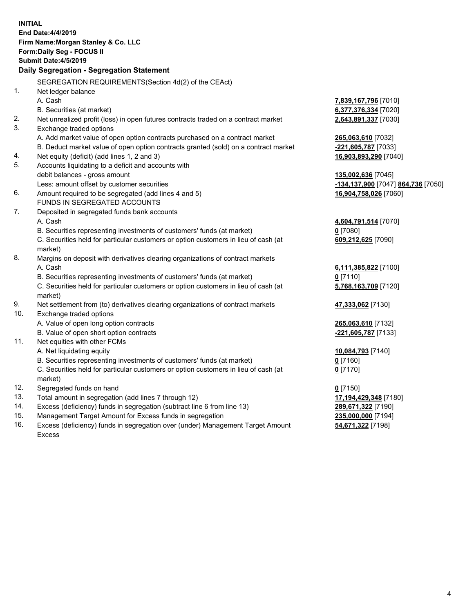|            | <b>INITIAL</b>                                                                                                                             |                                         |
|------------|--------------------------------------------------------------------------------------------------------------------------------------------|-----------------------------------------|
|            | <b>End Date:4/4/2019</b>                                                                                                                   |                                         |
|            | Firm Name: Morgan Stanley & Co. LLC                                                                                                        |                                         |
|            | Form: Daily Seg - FOCUS II                                                                                                                 |                                         |
|            | <b>Submit Date: 4/5/2019</b>                                                                                                               |                                         |
|            | Daily Segregation - Segregation Statement                                                                                                  |                                         |
|            | SEGREGATION REQUIREMENTS(Section 4d(2) of the CEAct)                                                                                       |                                         |
| 1.         | Net ledger balance                                                                                                                         |                                         |
|            | A. Cash                                                                                                                                    | 7,839,167,796 [7010]                    |
|            | B. Securities (at market)                                                                                                                  | 6,377,376,334 [7020]                    |
| 2.         | Net unrealized profit (loss) in open futures contracts traded on a contract market                                                         | 2,643,891,337 [7030]                    |
| 3.         | Exchange traded options                                                                                                                    |                                         |
|            | A. Add market value of open option contracts purchased on a contract market                                                                | 265,063,610 [7032]                      |
|            | B. Deduct market value of open option contracts granted (sold) on a contract market                                                        | -221,605,787 [7033]                     |
| 4.         | Net equity (deficit) (add lines 1, 2 and 3)                                                                                                | 16,903,893,290 [7040]                   |
| 5.         | Accounts liquidating to a deficit and accounts with                                                                                        |                                         |
|            | debit balances - gross amount                                                                                                              | 135,002,636 [7045]                      |
|            | Less: amount offset by customer securities                                                                                                 | -134,137,900 [7047] 864,736 [7050]      |
| 6.         | Amount required to be segregated (add lines 4 and 5)                                                                                       | 16,904,758,026 [7060]                   |
|            | FUNDS IN SEGREGATED ACCOUNTS                                                                                                               |                                         |
| 7.         | Deposited in segregated funds bank accounts                                                                                                |                                         |
|            | A. Cash                                                                                                                                    | 4,604,791,514 [7070]                    |
|            | B. Securities representing investments of customers' funds (at market)                                                                     | $0$ [7080]                              |
|            | C. Securities held for particular customers or option customers in lieu of cash (at                                                        | 609,212,625 [7090]                      |
|            | market)                                                                                                                                    |                                         |
| 8.         | Margins on deposit with derivatives clearing organizations of contract markets                                                             |                                         |
|            | A. Cash                                                                                                                                    | 6,111,385,822 [7100]                    |
|            | B. Securities representing investments of customers' funds (at market)                                                                     | $0$ [7110]                              |
|            | C. Securities held for particular customers or option customers in lieu of cash (at                                                        | 5,768,163,709 [7120]                    |
|            | market)                                                                                                                                    |                                         |
| 9.         | Net settlement from (to) derivatives clearing organizations of contract markets                                                            | 47,333,062 [7130]                       |
| 10.        | Exchange traded options                                                                                                                    |                                         |
|            | A. Value of open long option contracts                                                                                                     | 265,063,610 [7132]                      |
|            | B. Value of open short option contracts                                                                                                    | -221,605,787 [7133]                     |
| 11.        | Net equities with other FCMs                                                                                                               |                                         |
|            | A. Net liquidating equity                                                                                                                  | 10,084,793 [7140]                       |
|            | B. Securities representing investments of customers' funds (at market)                                                                     | $0$ [7160]                              |
|            | C. Securities held for particular customers or option customers in lieu of cash (at                                                        | $0$ [7170]                              |
|            | market)                                                                                                                                    |                                         |
| 12.        | Segregated funds on hand                                                                                                                   | $0$ [7150]                              |
| 13.<br>14. | Total amount in segregation (add lines 7 through 12)                                                                                       | 17,194,429,348 [7180]                   |
| 15.        | Excess (deficiency) funds in segregation (subtract line 6 from line 13)                                                                    | 289,671,322 [7190]                      |
| 16.        | Management Target Amount for Excess funds in segregation<br>Excess (deficiency) funds in segregation over (under) Management Target Amount | 235,000,000 [7194]<br>54,671,322 [7198] |
|            |                                                                                                                                            |                                         |

Excess